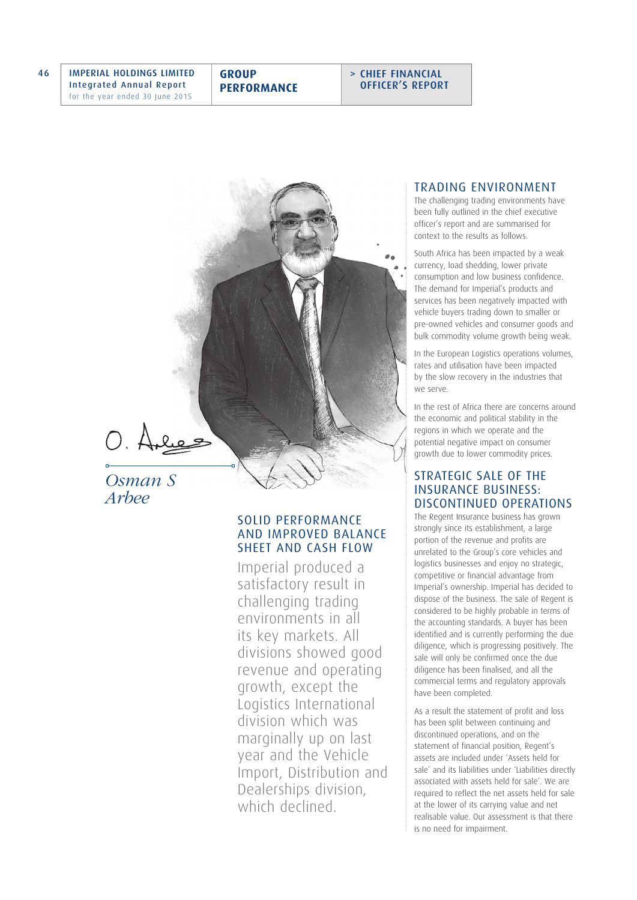



# *Osman S Arbee*

### SOLID PERFORMANCE AND IMPROVED BALANCE SHEET AND CASH FLOW

Imperial produced a satisfactory result in challenging trading environments in all its key markets. All divisions showed good revenue and operating growth, except the Logistics International division which was marginally up on last year and the Vehicle Import, Distribution and Dealerships division, which declined.

#### TRADING ENVIRONMENT

The challenging trading environments have been fully outlined in the chief executive officer's report and are summarised for context to the results as follows.

South Africa has been impacted by a weak currency, load shedding, lower private consumption and low business confidence. The demand for Imperial's products and services has been negatively impacted with vehicle buyers trading down to smaller or pre-owned vehicles and consumer goods and bulk commodity volume growth being weak.

In the European Logistics operations volumes, rates and utilisation have been impacted by the slow recovery in the industries that we serve.

In the rest of Africa there are concerns around the economic and political stability in the regions in which we operate and the potential negative impact on consumer growth due to lower commodity prices.

## STRATEGIC SALE OF THE INSURANCE BUSINESS: DISCONTINUED OPERATIONS

The Regent Insurance business has grown strongly since its establishment, a large portion of the revenue and profits are unrelated to the Group's core vehicles and logistics businesses and enjoy no strategic, competitive or financial advantage from Imperial's ownership. Imperial has decided to dispose of the business. The sale of Regent is considered to be highly probable in terms of the accounting standards. A buyer has been identified and is currently performing the due diligence, which is progressing positively. The sale will only be confirmed once the due diligence has been finalised, and all the commercial terms and regulatory approvals have been completed.

As a result the statement of profit and loss has been split between continuing and discontinued operations, and on the statement of financial position, Regent's assets are included under 'Assets held for sale' and its liabilities under 'Liabilities directly associated with assets held for sale'. We are required to reflect the net assets held for sale at the lower of its carrying value and net realisable value. Our assessment is that there is no need for impairment.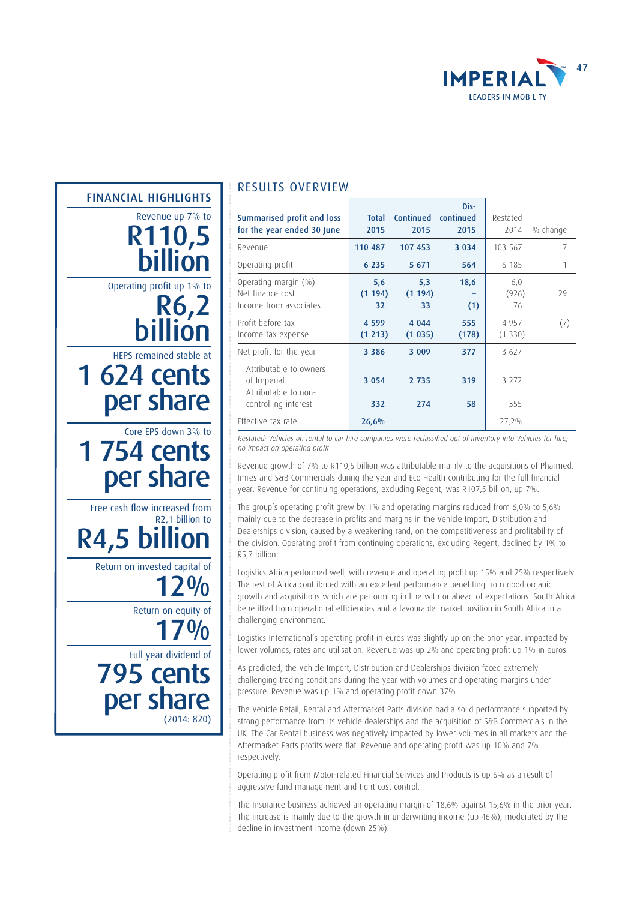



### RESULTS OVERVIEW

| Summarised profit and loss<br>for the year ended 30 June                              | <b>Total</b><br>2015 | <b>Continued</b><br>2015 | Dis-<br>continued<br>2015 | Restated<br>2014   | % change |
|---------------------------------------------------------------------------------------|----------------------|--------------------------|---------------------------|--------------------|----------|
| Revenue                                                                               | 110 487              | 107 453                  | 3 0 3 4                   | 103 567            | 7        |
| Operating profit                                                                      | 6 2 3 5              | 5 6 7 1                  | 564                       | 6 185              | 1        |
| Operating margin (%)<br>Net finance cost<br>Income from associates                    | 5,6<br>(1194)<br>32  | 5,3<br>(1194)<br>33      | 18,6<br>(1)               | 6,0<br>(926)<br>76 | 29       |
| Profit before tax<br>Income tax expense                                               | 4 5 9 9<br>(1 213)   | 4 0 4 4<br>(1035)        | 555<br>(178)              | 4 9 5 7<br>(1330)  | (7)      |
| Net profit for the year                                                               | 3 3 8 6              | 3 0 0 9                  | 377                       | 3 6 2 7            |          |
| Attributable to owners<br>of Imperial<br>Attributable to non-<br>controlling interest | 3 0 5 4<br>332       | 2 7 3 5<br>274           | 319<br>58                 | 3 2 7 2<br>355     |          |
| Effective tax rate                                                                    | 26,6%                |                          |                           | 27,2%              |          |

Restated: Vehicles on rental to car hire companies were reclassified out of Inventory into Vehicles for hire; no impact on operating profit.

Revenue growth of 7% to R110,5 billion was attributable mainly to the acquisitions of Pharmed, Imres and S&B Commercials during the year and Eco Health contributing for the full financial year. Revenue for continuing operations, excluding Regent, was R107,5 billion, up 7%.

The group's operating profit grew by 1% and operating margins reduced from 6,0% to 5,6% mainly due to the decrease in profits and margins in the Vehicle Import, Distribution and Dealerships division, caused by a weakening rand, on the competitiveness and profitability of the division. Operating profit from continuing operations, excluding Regent, declined by 1% to R5,7 billion.

Logistics Africa performed well, with revenue and operating profit up 15% and 25% respectively. The rest of Africa contributed with an excellent performance benefiting from good organic growth and acquisitions which are performing in line with or ahead of expectations. South Africa benefitted from operational efficiencies and a favourable market position in South Africa in a challenging environment.

Logistics International's operating profit in euros was slightly up on the prior year, impacted by lower volumes, rates and utilisation. Revenue was up 2% and operating profit up 1% in euros.

As predicted, the Vehicle Import, Distribution and Dealerships division faced extremely challenging trading conditions during the year with volumes and operating margins under pressure. Revenue was up 1% and operating profit down 37%.

The Vehicle Retail, Rental and Aftermarket Parts division had a solid performance supported by strong performance from its vehicle dealerships and the acquisition of S&B Commercials in the UK. The Car Rental business was negatively impacted by lower volumes in all markets and the Aftermarket Parts profits were flat. Revenue and operating profit was up 10% and 7% respectively.

Operating profit from Motor-related Financial Services and Products is up 6% as a result of aggressive fund management and tight cost control.

The Insurance business achieved an operating margin of 18,6% against 15,6% in the prior year. The increase is mainly due to the growth in underwriting income (up 46%), moderated by the decline in investment income (down 25%).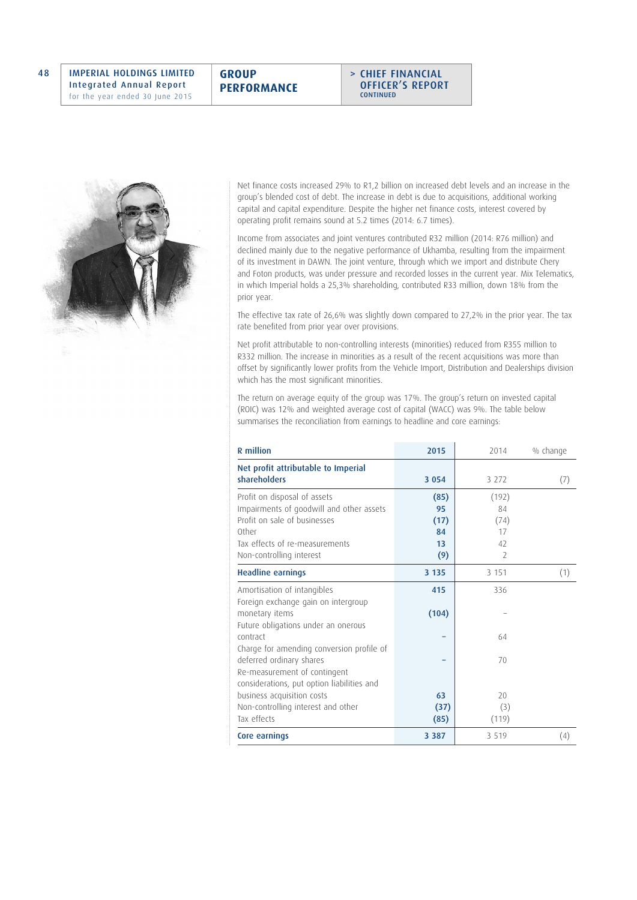**GROUP PERFORMANCE**



Net finance costs increased 29% to R1,2 billion on increased debt levels and an increase in the group's blended cost of debt. The increase in debt is due to acquisitions, additional working capital and capital expenditure. Despite the higher net finance costs, interest covered by operating profit remains sound at 5.2 times (2014: 6.7 times).

Income from associates and joint ventures contributed R32 million (2014: R76 million) and declined mainly due to the negative performance of Ukhamba, resulting from the impairment of its investment in DAWN. The joint venture, through which we import and distribute Chery and Foton products, was under pressure and recorded losses in the current year. Mix Telematics, in which Imperial holds a 25,3% shareholding, contributed R33 million, down 18% from the prior year.

The effective tax rate of 26,6% was slightly down compared to 27,2% in the prior year. The tax rate benefited from prior year over provisions.

Net profit attributable to non-controlling interests (minorities) reduced from R355 million to R332 million. The increase in minorities as a result of the recent acquisitions was more than offset by significantly lower profits from the Vehicle Import, Distribution and Dealerships division which has the most significant minorities.

The return on average equity of the group was 17%. The group's return on invested capital (ROIC) was 12% and weighted average cost of capital (WACC) was 9%. The table below summarises the reconciliation from earnings to headline and core earnings:

| <b>R</b> million                                                                                                                                                                          | 2015                                  | 2014                                                        | % change |
|-------------------------------------------------------------------------------------------------------------------------------------------------------------------------------------------|---------------------------------------|-------------------------------------------------------------|----------|
| Net profit attributable to Imperial<br>shareholders                                                                                                                                       | 3 0 5 4                               | 3 2 7 2                                                     | (7)      |
| Profit on disposal of assets<br>Impairments of goodwill and other assets<br>Profit on sale of businesses<br>Other<br>Tax effects of re-measurements<br>Non-controlling interest           | (85)<br>95<br>(17)<br>84<br>13<br>(9) | (192)<br>84<br>(74)<br>17<br>42<br>$\overline{\phantom{a}}$ |          |
| <b>Headline earnings</b>                                                                                                                                                                  | 3 1 3 5                               | 3 1 5 1                                                     | (1)      |
| Amortisation of intangibles<br>Foreign exchange gain on intergroup<br>monetary items<br>Future obligations under an onerous<br>contract<br>Charge for amending conversion profile of      | 415<br>(104)                          | 336<br>64                                                   |          |
| deferred ordinary shares<br>Re-measurement of contingent<br>considerations, put option liabilities and<br>business acquisition costs<br>Non-controlling interest and other<br>Tax effects | 63<br>(37)<br>(85)                    | 70<br>20<br>(3)<br>(119)                                    |          |
| Core earnings                                                                                                                                                                             | 3 3 8 7                               | 3 5 1 9                                                     | (4)      |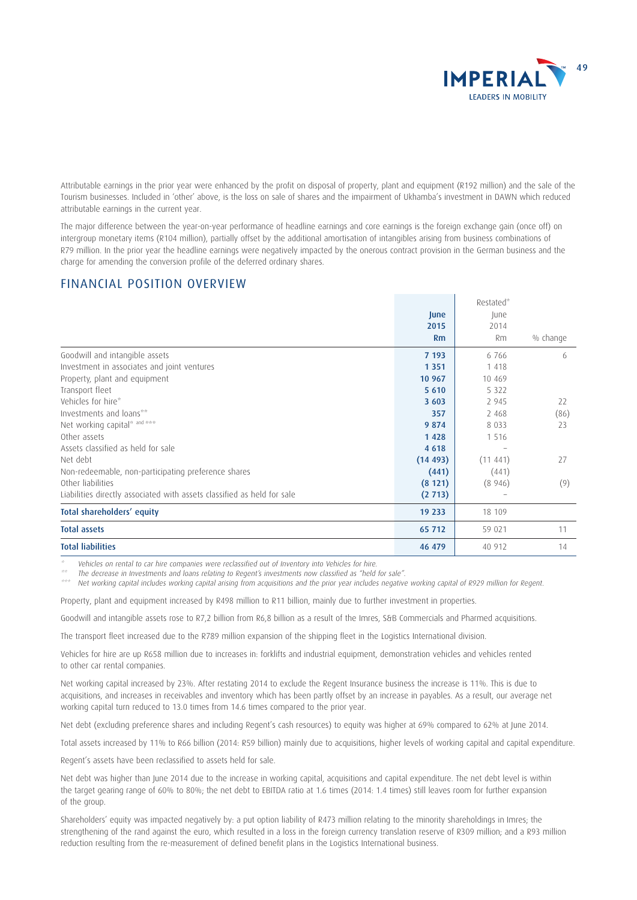

Attributable earnings in the prior year were enhanced by the profit on disposal of property, plant and equipment (R192 million) and the sale of the Tourism businesses. Included in 'other' above, is the loss on sale of shares and the impairment of Ukhamba's investment in DAWN which reduced attributable earnings in the current year.

The major difference between the year-on-year performance of headline earnings and core earnings is the foreign exchange gain (once off) on intergroup monetary items (R104 million), partially offset by the additional amortisation of intangibles arising from business combinations of R79 million. In the prior year the headline earnings were negatively impacted by the onerous contract provision in the German business and the charge for amending the conversion profile of the deferred ordinary shares.

### FINANCIAL POSITION OVERVIEW

|                                                                         |         | Restated* |          |
|-------------------------------------------------------------------------|---------|-----------|----------|
|                                                                         | June    | June      |          |
|                                                                         | 2015    | 2014      |          |
|                                                                         | Rm      | <b>Rm</b> | % change |
| Goodwill and intangible assets                                          | 7 193   | 6766      | 6        |
| Investment in associates and joint ventures                             | 1 3 5 1 | 1418      |          |
| Property, plant and equipment                                           | 10 967  | 10 469    |          |
| Transport fleet                                                         | 5 6 10  | 5 3 2 2   |          |
| Vehicles for hire*                                                      | 3 6 0 3 | 2 9 4 5   | 22       |
| Investments and loans**                                                 | 357     | 2 4 6 8   | (86)     |
| Net working capital* and ***                                            | 9 8 7 4 | 8 0 3 3   | 23       |
| Other assets                                                            | 1428    | 1 5 1 6   |          |
| Assets classified as held for sale                                      | 4 6 18  |           |          |
| Net debt                                                                | (14493) | (11441)   | 27       |
| Non-redeemable, non-participating preference shares                     | (441)   | (441)     |          |
| Other liabilities                                                       | (8121)  | (8946)    | (9)      |
| Liabilities directly associated with assets classified as held for sale | (2713)  |           |          |
| Total shareholders' equity                                              | 19 233  | 18 109    |          |
| <b>Total assets</b>                                                     | 65 712  | 59 021    | 11       |
| <b>Total liabilities</b>                                                | 46 479  | 40 912    | 14       |

Vehicles on rental to car hire companies were reclassified out of Inventory into Vehicles for hire.

The decrease in Investments and loans relating to Regent's investments now classified as "held for sale".

\*\*\* Net working capital includes working capital arising from acquisitions and the prior year includes negative working capital of R929 million for Regent.

Property, plant and equipment increased by R498 million to R11 billion, mainly due to further investment in properties.

Goodwill and intangible assets rose to R7,2 billion from R6,8 billion as a result of the Imres, S&B Commercials and Pharmed acquisitions.

The transport fleet increased due to the R789 million expansion of the shipping fleet in the Logistics International division.

Vehicles for hire are up R658 million due to increases in: forklifts and industrial equipment, demonstration vehicles and vehicles rented to other car rental companies.

Net working capital increased by 23%. After restating 2014 to exclude the Regent Insurance business the increase is 11%. This is due to acquisitions, and increases in receivables and inventory which has been partly offset by an increase in payables. As a result, our average net working capital turn reduced to 13.0 times from 14.6 times compared to the prior year.

Net debt (excluding preference shares and including Regent's cash resources) to equity was higher at 69% compared to 62% at June 2014.

Total assets increased by 11% to R66 billion (2014: R59 billion) mainly due to acquisitions, higher levels of working capital and capital expenditure.

Regent's assets have been reclassified to assets held for sale.

Net debt was higher than June 2014 due to the increase in working capital, acquisitions and capital expenditure. The net debt level is within the target gearing range of 60% to 80%; the net debt to EBITDA ratio at 1.6 times (2014: 1.4 times) still leaves room for further expansion of the group.

Shareholders' equity was impacted negatively by: a put option liability of R473 million relating to the minority shareholdings in Imres; the strengthening of the rand against the euro, which resulted in a loss in the foreign currency translation reserve of R309 million; and a R93 million reduction resulting from the re-measurement of defined benefit plans in the Logistics International business.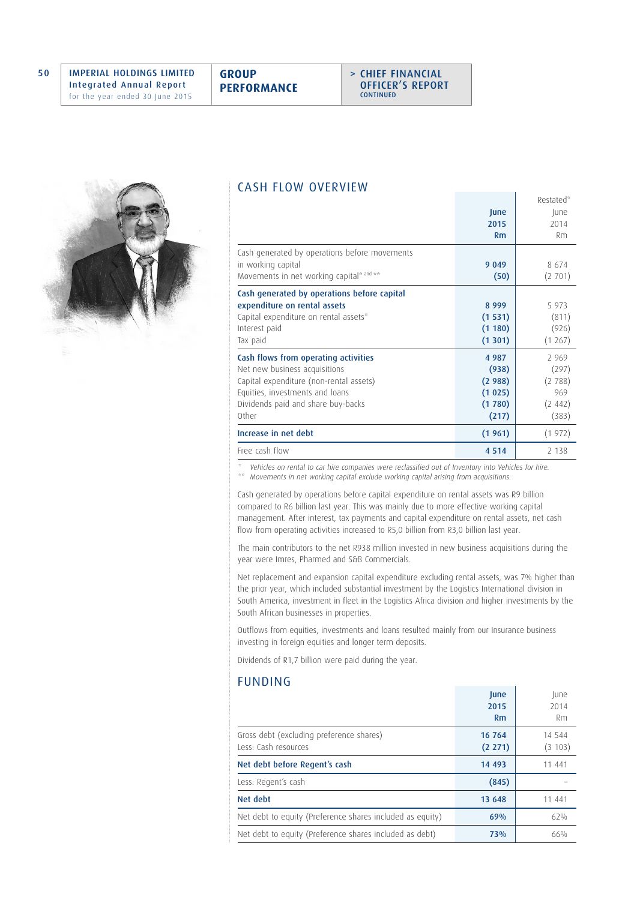

### CASH FLOW OVERVIEW

|                                               |         | Restated* |
|-----------------------------------------------|---------|-----------|
|                                               | June    | June      |
|                                               | 2015    | 2014      |
|                                               | Rm      | Rm        |
| Cash generated by operations before movements |         |           |
| in working capital                            | 9 0 4 9 | 8 6 7 4   |
| Movements in net working capital* and **      | (50)    | (2701)    |
| Cash generated by operations before capital   |         |           |
| expenditure on rental assets                  | 8999    | 5 9 7 3   |
| Capital expenditure on rental assets*         | (1531)  | (811)     |
| Interest paid                                 | (1180)  | (926)     |
| Tax paid                                      | (1301)  | (1267)    |
| Cash flows from operating activities          | 4 9 8 7 | 2969      |
| Net new business acquisitions                 | (938)   | (297)     |
| Capital expenditure (non-rental assets)       | (2988)  | (2788)    |
| Equities, investments and loans               | (1025)  | 969       |
| Dividends paid and share buy-backs            | (1780)  | (2.442)   |
| Other                                         | (217)   | (383)     |
| Increase in net debt                          | (1961)  | (1972)    |
| Free cash flow                                | 4 5 1 4 | 2 1 3 8   |
|                                               |         |           |

\* Vehicles on rental to car hire companies were reclassified out of Inventory into Vehicles for hire. \*\* Movements in net working capital exclude working capital arising from acquisitions.

Cash generated by operations before capital expenditure on rental assets was R9 billion compared to R6 billion last year. This was mainly due to more effective working capital management. After interest, tax payments and capital expenditure on rental assets, net cash flow from operating activities increased to R5,0 billion from R3,0 billion last year.

The main contributors to the net R938 million invested in new business acquisitions during the year were Imres, Pharmed and S&B Commercials.

Net replacement and expansion capital expenditure excluding rental assets, was 7% higher than the prior year, which included substantial investment by the Logistics International division in South America, investment in fleet in the Logistics Africa division and higher investments by the South African businesses in properties.

Outflows from equities, investments and loans resulted mainly from our Insurance business investing in foreign equities and longer term deposits.

Dividends of R1,7 billion were paid during the year.

#### FUNDING

| 1 U I Y LI I Y U                                                 | June<br>2015<br>Rm | June<br>2014<br>Rm |
|------------------------------------------------------------------|--------------------|--------------------|
| Gross debt (excluding preference shares)<br>Less: Cash resources | 16 764<br>(2 271)  | 14 544<br>(3 103)  |
| Net debt before Regent's cash                                    | 14 4 9 3           | 11 441             |
| Less: Regent's cash                                              | (845)              |                    |
| Net debt                                                         | 13 648             | 11 441             |
| Net debt to equity (Preference shares included as equity)        | 69%                | 62%                |
| Net debt to equity (Preference shares included as debt)          | 73%                | 66%                |